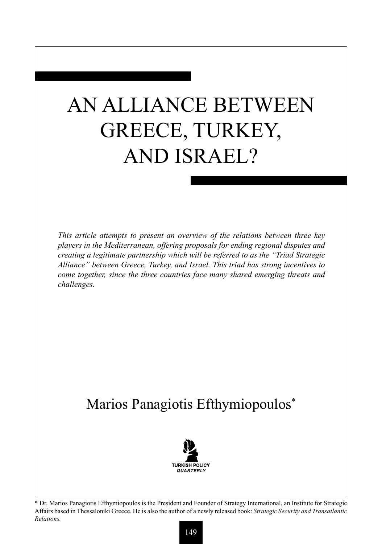## AN ALLIANCE BETWEEN GREECE, TURKEY, AND ISRAEL?

*This article attempts to present an overview of the relations between three key players in the Mediterranean, offering proposals for ending regional disputes and creating a legitimate partnership which will be referred to as the "Triad Strategic Alliance" between Greece, Turkey, and Israel. This triad has strong incentives to come together, since the three countries face many shared emerging threats and challenges.* 

## Marios Panagiotis Efthymiopoulos\*



<sup>\*</sup> Dr. Marios Panagiotis Efthymiopoulos is the President and Founder of Strategy International, an Institute for Strategic Affairs based in Thessaloniki Greece. He is also the author of a newly released book: *Strategic Security and Transatlantic Relations.*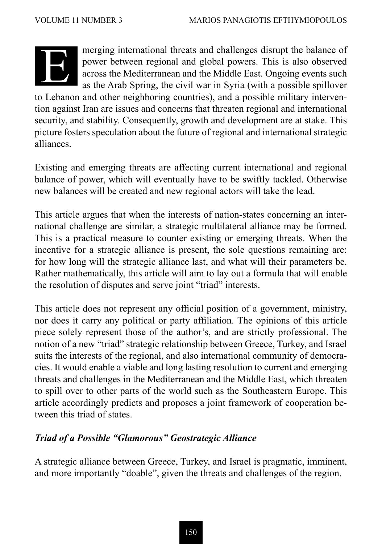

merging international threats and challenges disrupt the balance of power between regional and global powers. This is also observed across the Mediterranean and the Middle East. Ongoing events such as the Arab Spring, the civil war in Syria (with a possible spillover

to Lebanon and other neighboring countries), and a possible military intervention against Iran are issues and concerns that threaten regional and international security, and stability. Consequently, growth and development are at stake. This picture fosters speculation about the future of regional and international strategic alliances.

Existing and emerging threats are affecting current international and regional balance of power, which will eventually have to be swiftly tackled. Otherwise new balances will be created and new regional actors will take the lead.

This article argues that when the interests of nation-states concerning an international challenge are similar, a strategic multilateral alliance may be formed. This is a practical measure to counter existing or emerging threats. When the incentive for a strategic alliance is present, the sole questions remaining are: for how long will the strategic alliance last, and what will their parameters be. Rather mathematically, this article will aim to lay out a formula that will enable the resolution of disputes and serve joint "triad" interests.

This article does not represent any official position of a government, ministry, nor does it carry any political or party affiliation. The opinions of this article piece solely represent those of the author's, and are strictly professional. The notion of a new "triad" strategic relationship between Greece, Turkey, and Israel suits the interests of the regional, and also international community of democracies. It would enable a viable and long lasting resolution to current and emerging threats and challenges in the Mediterranean and the Middle East, which threaten to spill over to other parts of the world such as the Southeastern Europe. This article accordingly predicts and proposes a joint framework of cooperation between this triad of states.

## *Triad of a Possible "Glamorous" Geostrategic Alliance*

A strategic alliance between Greece, Turkey, and Israel is pragmatic, imminent, and more importantly "doable", given the threats and challenges of the region.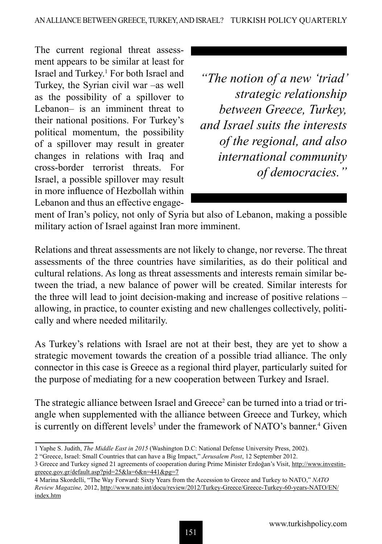The current regional threat assessment appears to be similar at least for Israel and Turkey.1 For both Israel and Turkey, the Syrian civil war –as well as the possibility of a spillover to Lebanon– is an imminent threat to their national positions. For Turkey's political momentum, the possibility of a spillover may result in greater changes in relations with Iraq and cross-border terrorist threats. For Israel, a possible spillover may result in more influence of Hezbollah within Lebanon and thus an effective engage-

*"The notion of a new 'triad' strategic relationship between Greece, Turkey, and Israel suits the interests of the regional, and also international community of democracies."*

ment of Iran's policy, not only of Syria but also of Lebanon, making a possible military action of Israel against Iran more imminent.

Relations and threat assessments are not likely to change, nor reverse. The threat assessments of the three countries have similarities, as do their political and cultural relations. As long as threat assessments and interests remain similar between the triad, a new balance of power will be created. Similar interests for the three will lead to joint decision-making and increase of positive relations – allowing, in practice, to counter existing and new challenges collectively, politically and where needed militarily.

As Turkey's relations with Israel are not at their best, they are yet to show a strategic movement towards the creation of a possible triad alliance. The only connector in this case is Greece as a regional third player, particularly suited for the purpose of mediating for a new cooperation between Turkey and Israel.

The strategic alliance between Israel and Greece<sup>2</sup> can be turned into a triad or triangle when supplemented with the alliance between Greece and Turkey, which is currently on different levels<sup>3</sup> under the framework of NATO's banner.<sup>4</sup> Given

<sup>1</sup> Yaphe S. Judith, *The Middle East in 2015* (Washington D.C: National Defense University Press, 2002).

<sup>2</sup> "Greece, Israel: Small Countries that can have a Big Impact," *Jerusalem Post*, 12 September 2012.

<sup>3</sup> Greece and Turkey signed 21 agreements of cooperation during Prime Minister Erdoğan's Visit, http://www.investingreece.gov.gr/default.asp?pid=25&la=6&n=441&pg=7

<sup>4</sup> Marina Skordelli, "The Way Forward: Sixty Years from the Accession to Greece and Turkey to NATO," *NATO Review Magazine,* 2012, http://www.nato.int/docu/review/2012/Turkey-Greece/Greece-Turkey-60-years-NATO/EN/ index.htm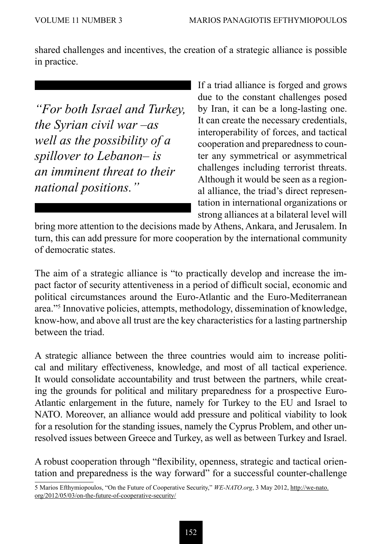shared challenges and incentives, the creation of a strategic alliance is possible in practice.

*"For both Israel and Turkey, the Syrian civil war –as well as the possibility of a spillover to Lebanon– is an imminent threat to their national positions."*

If a triad alliance is forged and grows due to the constant challenges posed by Iran, it can be a long-lasting one. It can create the necessary credentials, interoperability of forces, and tactical cooperation and preparedness to counter any symmetrical or asymmetrical challenges including terrorist threats. Although it would be seen as a regional alliance, the triad's direct representation in international organizations or strong alliances at a bilateral level will

bring more attention to the decisions made by Athens, Ankara, and Jerusalem. In turn, this can add pressure for more cooperation by the international community of democratic states.

The aim of a strategic alliance is "to practically develop and increase the impact factor of security attentiveness in a period of difficult social, economic and political circumstances around the Euro-Atlantic and the Euro-Mediterranean area."5 Innovative policies, attempts, methodology, dissemination of knowledge, know-how, and above all trust are the key characteristics for a lasting partnership between the triad.

A strategic alliance between the three countries would aim to increase political and military effectiveness, knowledge, and most of all tactical experience. It would consolidate accountability and trust between the partners, while creating the grounds for political and military preparedness for a prospective Euro-Atlantic enlargement in the future, namely for Turkey to the EU and Israel to NATO. Moreover, an alliance would add pressure and political viability to look for a resolution for the standing issues, namely the Cyprus Problem, and other unresolved issues between Greece and Turkey, as well as between Turkey and Israel.

A robust cooperation through "flexibility, openness, strategic and tactical orientation and preparedness is the way forward" for a successful counter-challenge

5 Marios Efthymiopoulos, "On the Future of Cooperative Security," *WE-NATO.org*, 3 May 2012, http://we-nato. org/2012/05/03/on-the-future-of-cooperative-security/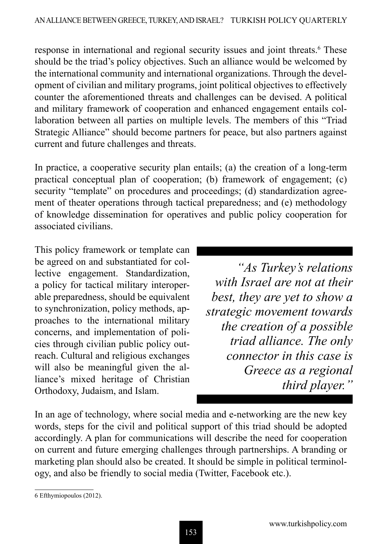response in international and regional security issues and joint threats.<sup>6</sup> These should be the triad's policy objectives. Such an alliance would be welcomed by the international community and international organizations. Through the development of civilian and military programs, joint political objectives to effectively counter the aforementioned threats and challenges can be devised. A political and military framework of cooperation and enhanced engagement entails collaboration between all parties on multiple levels. The members of this "Triad Strategic Alliance" should become partners for peace, but also partners against current and future challenges and threats.

In practice, a cooperative security plan entails; (a) the creation of a long-term practical conceptual plan of cooperation; (b) framework of engagement; (c) security "template" on procedures and proceedings; (d) standardization agreement of theater operations through tactical preparedness; and (e) methodology of knowledge dissemination for operatives and public policy cooperation for associated civilians.

This policy framework or template can be agreed on and substantiated for collective engagement. Standardization, a policy for tactical military interoperable preparedness, should be equivalent to synchronization, policy methods, approaches to the international military concerns, and implementation of policies through civilian public policy outreach. Cultural and religious exchanges will also be meaningful given the alliance's mixed heritage of Christian Orthodoxy, Judaism, and Islam.

*"As Turkey's relations with Israel are not at their best, they are yet to show a strategic movement towards the creation of a possible triad alliance. The only connector in this case is Greece as a regional third player."*

In an age of technology, where social media and e-networking are the new key words, steps for the civil and political support of this triad should be adopted accordingly. A plan for communications will describe the need for cooperation on current and future emerging challenges through partnerships. A branding or marketing plan should also be created. It should be simple in political terminology, and also be friendly to social media (Twitter, Facebook etc.).

<sup>6</sup> Efthymiopoulos (2012).